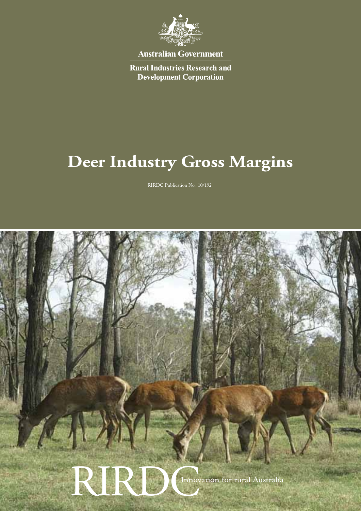

**Australian Government** 

**Rural Industries Research and Development Corporation** 

# **Deer Industry Gross Margins**

RIRDC Publication No. 10/192

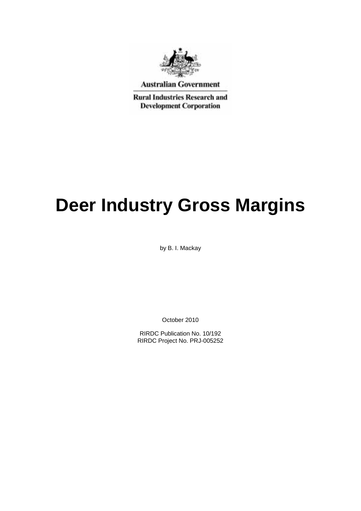

**Australian Government** 

**Rural Industries Research and Development Corporation** 

# **Deer Industry Gross Margins**

by B. I. Mackay

October 2010

RIRDC Publication No. 10/192 RIRDC Project No. PRJ-005252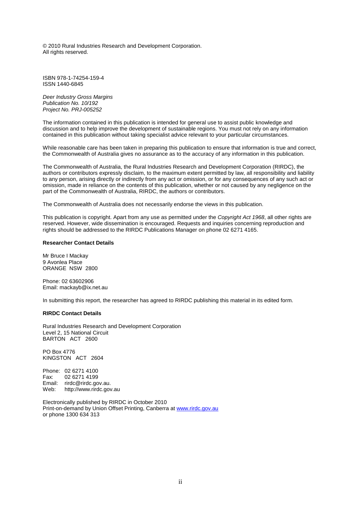© 2010 Rural Industries Research and Development Corporation. All rights reserved.

ISBN 978-1-74254-159-4 ISSN 1440-6845

*Deer Industry Gross Margins Publication No. 10/192 Project No. PRJ-005252*

The information contained in this publication is intended for general use to assist public knowledge and discussion and to help improve the development of sustainable regions. You must not rely on any information contained in this publication without taking specialist advice relevant to your particular circumstances.

While reasonable care has been taken in preparing this publication to ensure that information is true and correct, the Commonwealth of Australia gives no assurance as to the accuracy of any information in this publication.

The Commonwealth of Australia, the Rural Industries Research and Development Corporation (RIRDC), the authors or contributors expressly disclaim, to the maximum extent permitted by law, all responsibility and liability to any person, arising directly or indirectly from any act or omission, or for any consequences of any such act or omission, made in reliance on the contents of this publication, whether or not caused by any negligence on the part of the Commonwealth of Australia, RIRDC, the authors or contributors.

The Commonwealth of Australia does not necessarily endorse the views in this publication.

This publication is copyright. Apart from any use as permitted under the *Copyright Act 1968*, all other rights are reserved. However, wide dissemination is encouraged. Requests and inquiries concerning reproduction and rights should be addressed to the RIRDC Publications Manager on phone 02 6271 4165.

#### **Researcher Contact Details**

Mr Bruce I Mackay 9 Avonlea Place ORANGE NSW 2800

Phone: 02 63602906 Email: mackayb@ix.net.au

In submitting this report, the researcher has agreed to RIRDC publishing this material in its edited form.

#### **RIRDC Contact Details**

Rural Industries Research and Development Corporation Level 2, 15 National Circuit BARTON ACT 2600

PO Box 4776 KINGSTON ACT 2604

Phone: 02 6271 4100<br>Fax: 02 6271 4199 02 6271 4199 Email: rirdc@rirdc.gov.au. Web: http://www.rirdc.gov.au

Electronically published by RIRDC in October 2010 Print-on-demand by Union Offset Printing, Canberra at www.rirdc.gov.au or phone 1300 634 313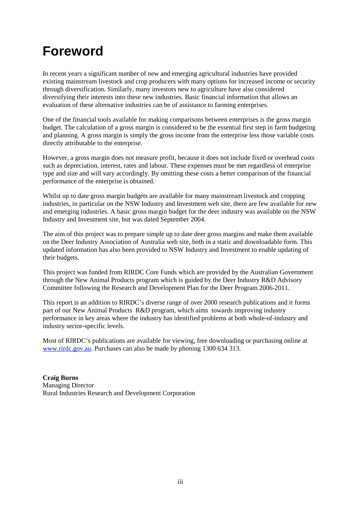### **Foreword**

In recent years a significant number of new and emerging agricultural industries have provided existing mainstream livestock and crop producers with many options for increased income or security through diversification. Similarly, many investors new to agriculture have also considered diversifying their interests into these new industries. Basic financial information that allows an evaluation of these alternative industries can be of assistance to farming enterprises.

One of the financial tools available for making comparisons between enterprises is the gross margin budget. The calculation of a gross margin is considered to be the essential first step in farm budgeting and planning. A gross margin is simply the gross income from the enterprise less those variable costs directly attributable to the enterprise.

However, a gross margin does not measure profit, because it does not include fixed or overhead costs such as depreciation, interest, rates and labour. These expenses must be met regardless of enterprise type and size and will vary accordingly. By omitting these costs a better comparison of the financial performance of the enterprise is obtained.

Whilst up to date gross margin budgets are available for many mainstream livestock and cropping industries, in particular on the NSW Industry and Investment web site, there are few available for new and emerging industries. A basic gross margin budget for the deer industry was available on the NSW Industry and Investment site, but was dated September 2004.

The aim of this project was to prepare simple up to date deer gross margins and make them available on the Deer Industry Association of Australia web site, both in a static and downloadable form. This updated information has also been provided to NSW Industry and Investment to enable updating of their budgets.

This project was funded from RIRDC Core Funds which are provided by the Australian Government through the New Animal Products program which is guided by the Deer Industry R&D Advisory Committee following the Research and Development Plan for the Deer Program 2006-2011.

This report is an addition to RIRDC's diverse range of over 2000 research publications and it forms part of our New Animal Products R&D program, which aims towards improving industry performance in key areas where the industry has identified problems at both whole-of-industry and industry sector-specific levels.

Most of RIRDC's publications are available for viewing, free downloading or purchasing online at [www.rirdc.gov.au.](http://www.rirdc.gov.au/) Purchases can also be made by phoning 1300 634 313.

**Craig Burns** Managing Director Rural Industries Research and Development Corporation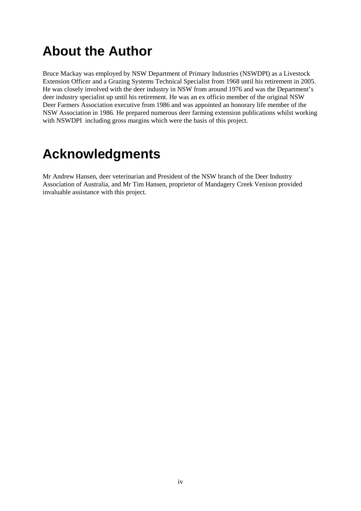### **About the Author**

Bruce Mackay was employed by NSW Department of Primary Industries (NSWDPI) as a Livestock Extension Officer and a Grazing Systems Technical Specialist from 1968 until his retirement in 2005. He was closely involved with the deer industry in NSW from around 1976 and was the Department's deer industry specialist up until his retirement. He was an ex officio member of the original NSW Deer Farmers Association executive from 1986 and was appointed an honorary life member of the NSW Association in 1986. He prepared numerous deer farming extension publications whilst working with NSWDPI including gross margins which were the basis of this project.

### **Acknowledgments**

Mr Andrew Hansen, deer veterinarian and President of the NSW branch of the Deer Industry Association of Australia, and Mr Tim Hansen, proprietor of Mandagery Creek Venison provided invaluable assistance with this project.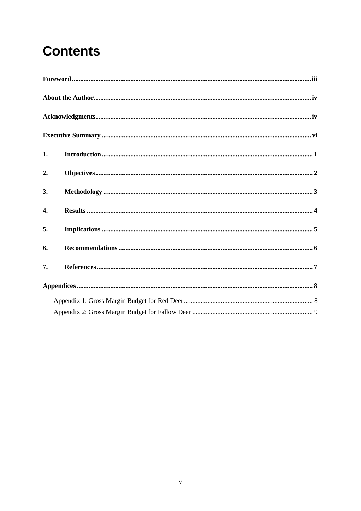## **Contents**

| 1.               | $\bf Introducing a 1$ |  |
|------------------|-----------------------|--|
| 2.               |                       |  |
| 3.               |                       |  |
| $\overline{4}$ . |                       |  |
| 5.               |                       |  |
| 6.               |                       |  |
| 7.               |                       |  |
|                  |                       |  |
|                  |                       |  |
|                  |                       |  |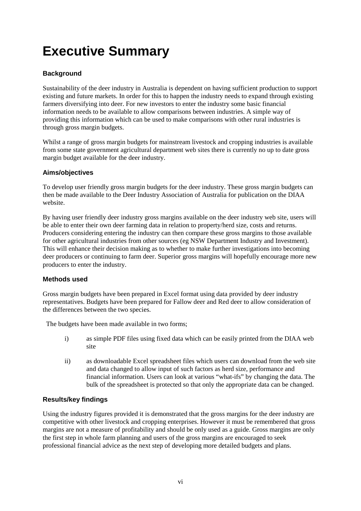## **Executive Summary**

### **Background**

Sustainability of the deer industry in Australia is dependent on having sufficient production to support existing and future markets. In order for this to happen the industry needs to expand through existing farmers diversifying into deer. For new investors to enter the industry some basic financial information needs to be available to allow comparisons between industries. A simple way of providing this information which can be used to make comparisons with other rural industries is through gross margin budgets.

Whilst a range of gross margin budgets for mainstream livestock and cropping industries is available from some state government agricultural department web sites there is currently no up to date gross margin budget available for the deer industry.

### **Aims/objectives**

To develop user friendly gross margin budgets for the deer industry. These gross margin budgets can then be made available to the Deer Industry Association of Australia for publication on the DIAA website.

By having user friendly deer industry gross margins available on the deer industry web site, users will be able to enter their own deer farming data in relation to property/herd size, costs and returns. Producers considering entering the industry can then compare these gross margins to those available for other agricultural industries from other sources (eg NSW Department Industry and Investment). This will enhance their decision making as to whether to make further investigations into becoming deer producers or continuing to farm deer. Superior gross margins will hopefully encourage more new producers to enter the industry.

### **Methods used**

Gross margin budgets have been prepared in Excel format using data provided by deer industry representatives. Budgets have been prepared for Fallow deer and Red deer to allow consideration of the differences between the two species.

The budgets have been made available in two forms;

- i) as simple PDF files using fixed data which can be easily printed from the DIAA web site
- ii) as downloadable Excel spreadsheet files which users can download from the web site and data changed to allow input of such factors as herd size, performance and financial information. Users can look at various "what-ifs" by changing the data. The bulk of the spreadsheet is protected so that only the appropriate data can be changed.

### **Results/key findings**

Using the industry figures provided it is demonstrated that the gross margins for the deer industry are competitive with other livestock and cropping enterprises. However it must be remembered that gross margins are not a measure of profitability and should be only used as a guide. Gross margins are only the first step in whole farm planning and users of the gross margins are encouraged to seek professional financial advice as the next step of developing more detailed budgets and plans.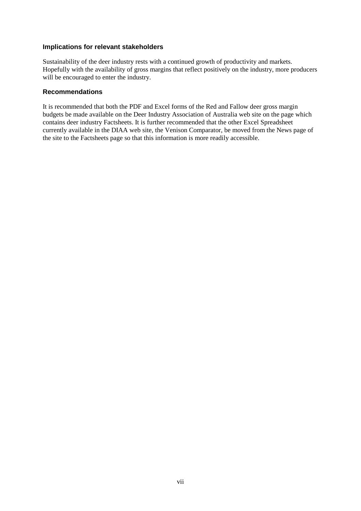#### **Implications for relevant stakeholders**

Sustainability of the deer industry rests with a continued growth of productivity and markets. Hopefully with the availability of gross margins that reflect positively on the industry, more producers will be encouraged to enter the industry.

#### **Recommendations**

It is recommended that both the PDF and Excel forms of the Red and Fallow deer gross margin budgets be made available on the Deer Industry Association of Australia web site on the page which contains deer industry Factsheets. It is further recommended that the other Excel Spreadsheet currently available in the DIAA web site, the Venison Comparator, be moved from the News page of the site to the Factsheets page so that this information is more readily accessible.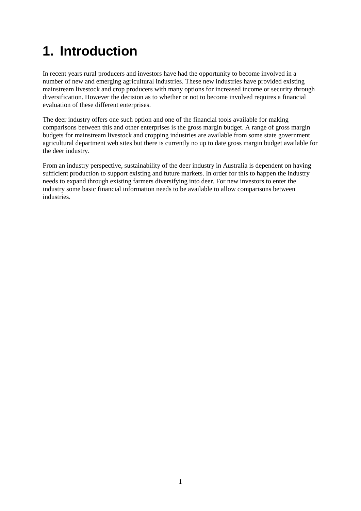## **1. Introduction**

In recent years rural producers and investors have had the opportunity to become involved in a number of new and emerging agricultural industries. These new industries have provided existing mainstream livestock and crop producers with many options for increased income or security through diversification. However the decision as to whether or not to become involved requires a financial evaluation of these different enterprises.

The deer industry offers one such option and one of the financial tools available for making comparisons between this and other enterprises is the gross margin budget. A range of gross margin budgets for mainstream livestock and cropping industries are available from some state government agricultural department web sites but there is currently no up to date gross margin budget available for the deer industry.

From an industry perspective, sustainability of the deer industry in Australia is dependent on having sufficient production to support existing and future markets. In order for this to happen the industry needs to expand through existing farmers diversifying into deer. For new investors to enter the industry some basic financial information needs to be available to allow comparisons between industries.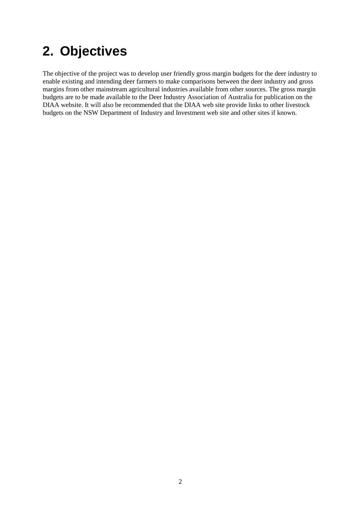## **2. Objectives**

The objective of the project was to develop user friendly gross margin budgets for the deer industry to enable existing and intending deer farmers to make comparisons between the deer industry and gross margins from other mainstream agricultural industries available from other sources. The gross margin budgets are to be made available to the Deer Industry Association of Australia for publication on the DIAA website. It will also be recommended that the DIAA web site provide links to other livestock budgets on the NSW Department of Industry and Investment web site and other sites if known.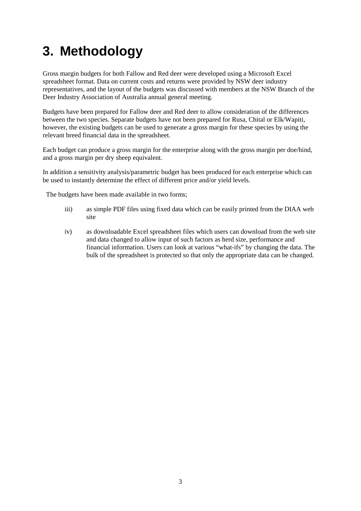## **3. Methodology**

Gross margin budgets for both Fallow and Red deer were developed using a Microsoft Excel spreadsheet format. Data on current costs and returns were provided by NSW deer industry representatives, and the layout of the budgets was discussed with members at the NSW Branch of the Deer Industry Association of Australia annual general meeting.

Budgets have been prepared for Fallow deer and Red deer to allow consideration of the differences between the two species. Separate budgets have not been prepared for Rusa, Chital or Elk/Wapiti, however, the existing budgets can be used to generate a gross margin for these species by using the relevant breed financial data in the spreadsheet.

Each budget can produce a gross margin for the enterprise along with the gross margin per doe/hind, and a gross margin per dry sheep equivalent.

In addition a sensitivity analysis/parametric budget has been produced for each enterprise which can be used to instantly determine the effect of different price and/or yield levels.

The budgets have been made available in two forms;

- iii) as simple PDF files using fixed data which can be easily printed from the DIAA web site
- iv) as downloadable Excel spreadsheet files which users can download from the web site and data changed to allow input of such factors as herd size, performance and financial information. Users can look at various "what-ifs" by changing the data. The bulk of the spreadsheet is protected so that only the appropriate data can be changed.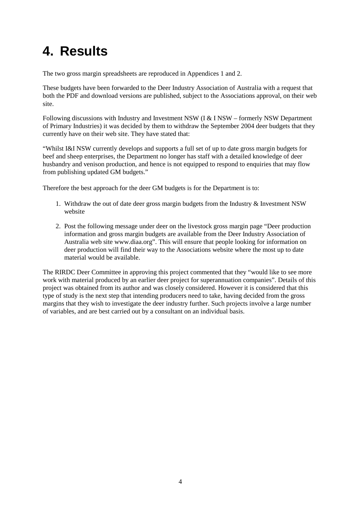## **4. Results**

The two gross margin spreadsheets are reproduced in Appendices 1 and 2.

These budgets have been forwarded to the Deer Industry Association of Australia with a request that both the PDF and download versions are published, subject to the Associations approval, on their web site.

Following discussions with Industry and Investment NSW (I & I NSW – formerly NSW Department of Primary Industries) it was decided by them to withdraw the September 2004 deer budgets that they currently have on their web site. They have stated that:

"Whilst I&I NSW currently develops and supports a full set of up to date gross margin budgets for beef and sheep enterprises, the Department no longer has staff with a detailed knowledge of deer husbandry and venison production, and hence is not equipped to respond to enquiries that may flow from publishing updated GM budgets."

Therefore the best approach for the deer GM budgets is for the Department is to:

- 1. Withdraw the out of date deer gross margin budgets from the Industry & Investment NSW website
- 2. Post the following message under deer on the livestock gross margin page "Deer production information and gross margin budgets are available from the Deer Industry Association of Australia web site www.diaa.org". This will ensure that people looking for information on deer production will find their way to the Associations website where the most up to date material would be available.

The RIRDC Deer Committee in approving this project commented that they "would like to see more work with material produced by an earlier deer project for superannuation companies". Details of this project was obtained from its author and was closely considered. However it is considered that this type of study is the next step that intending producers need to take, having decided from the gross margins that they wish to investigate the deer industry further. Such projects involve a large number of variables, and are best carried out by a consultant on an individual basis.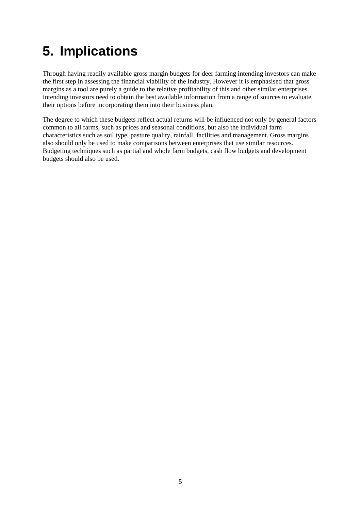## **5. Implications**

Through having readily available gross margin budgets for deer farming intending investors can make the first step in assessing the financial viability of the industry. However it is emphasised that gross margins as a tool are purely a guide to the relative profitability of this and other similar enterprises. Intending investors need to obtain the best available information from a range of sources to evaluate their options before incorporating them into their business plan.

The degree to which these budgets reflect actual returns will be influenced not only by general factors common to all farms, such as prices and seasonal conditions, but also the individual farm characteristics such as soil type, pasture quality, rainfall, facilities and management. Gross margins also should only be used to make comparisons between enterprises that use similar resources. Budgeting techniques such as partial and whole farm budgets, cash flow budgets and development budgets should also be used.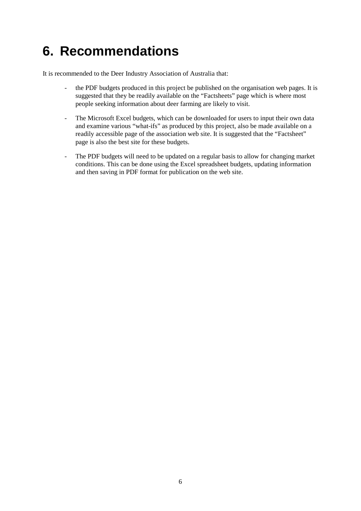## **6. Recommendations**

It is recommended to the Deer Industry Association of Australia that:

- the PDF budgets produced in this project be published on the organisation web pages. It is suggested that they be readily available on the "Factsheets" page which is where most people seeking information about deer farming are likely to visit.
- The Microsoft Excel budgets, which can be downloaded for users to input their own data and examine various "what-ifs" as produced by this project, also be made available on a readily accessible page of the association web site. It is suggested that the "Factsheet" page is also the best site for these budgets.
- The PDF budgets will need to be updated on a regular basis to allow for changing market conditions. This can be done using the Excel spreadsheet budgets, updating information and then saving in PDF format for publication on the web site.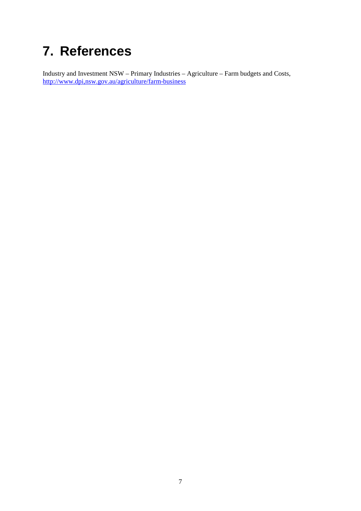## **7. References**

Industry and Investment NSW – Primary Industries – Agriculture – Farm budgets and Costs, <http://www.dpi,nsw.gov.au/agriculture/farm-business>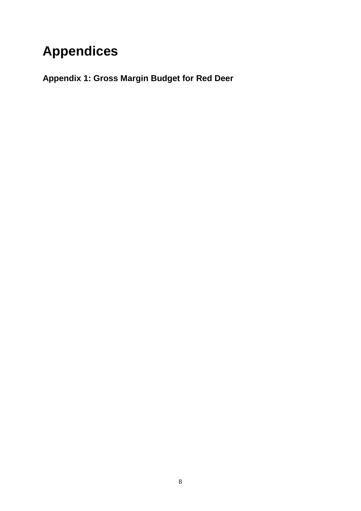## **Appendices**

**Appendix 1: Gross Margin Budget for Red Deer**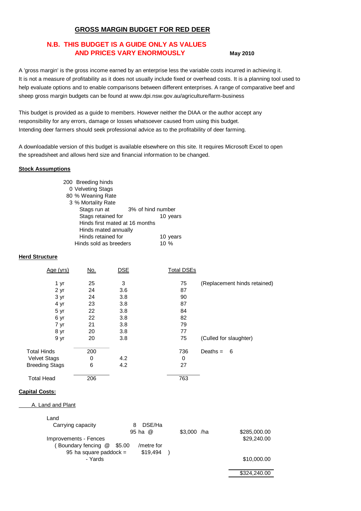### **GROSS MARGIN BUDGET FOR RED DEER**

### **N.B. THIS BUDGET IS A GUIDE ONLY AS VALUES AND PRICES VARY ENORMOUSLY May 2010**

A 'gross margin' is the gross income earned by an enterprise less the variable costs incurred in achieving it. It is not a measure of profitability as it does not usually include fixed or overhead costs. It is a planning tool used to help evaluate options and to enable comparisons between different enterprises. A range of comparative beef and sheep gross margin budgets can be found at www.dpi.nsw.gov.au/agriculture/farm-business

This budget is provided as a guide to members. However neither the DIAA or the author accept any responsibility for any errors, damage or losses whatsoever caused from using this budget. Intending deer farmers should seek professional advice as to the profitability of deer farming.

A downloadable version of this budget is available elsewhere on this site. It requires Microsoft Excel to open the spreadsheet and allows herd size and financial information to be changed.

#### **Stock Assumptions**

|                      | 200 Breeding hinds             |                   |          |  |  |
|----------------------|--------------------------------|-------------------|----------|--|--|
|                      | 0 Velveting Stags              |                   |          |  |  |
|                      | 80 % Weaning Rate              |                   |          |  |  |
|                      | 3 % Mortality Rate             |                   |          |  |  |
|                      | Stags run at                   | 3% of hind number |          |  |  |
|                      | Stags retained for<br>10 years |                   |          |  |  |
|                      | Hinds first mated at 16 months |                   |          |  |  |
| Hinds mated annually |                                |                   |          |  |  |
|                      | Hinds retained for             |                   | 10 years |  |  |
|                      | Hinds sold as breeders<br>በ %  |                   |          |  |  |

#### **Herd Structure**

| Age (yrs)             | No. | <b>DSE</b> | <b>Total DSEs</b> |                              |
|-----------------------|-----|------------|-------------------|------------------------------|
| 1 yr                  | 25  | 3          | 75                | (Replacement hinds retained) |
| 2 yr                  | 24  | 3.6        | 87                |                              |
| 3 yr                  | 24  | 3.8        | 90                |                              |
| 4 yr                  | 23  | 3.8        | 87                |                              |
| 5 yr                  | 22  | 3.8        | 84                |                              |
| 6 yr                  | 22  | 3.8        | 82                |                              |
| 7 yr                  | 21  | 3.8        | 79                |                              |
| 8 yr                  | 20  | 3.8        | 77                |                              |
| 9 yr                  | 20  | 3.8        | 75                | (Culled for slaughter)       |
| <b>Total Hinds</b>    | 200 |            | 736               | Deaths $=$<br>- 6            |
| <b>Velvet Stags</b>   | 0   | 4.2        | 0                 |                              |
| <b>Breeding Stags</b> | 6   | 4.2        | 27                |                              |
| <b>Total Head</b>     | 206 |            | 763               |                              |

#### **Capital Costs:**

A. Land and Plant

| Land                     |                      |              |              |
|--------------------------|----------------------|--------------|--------------|
| Carrying capacity        | DSE/Ha<br>8          |              |              |
|                          | 95 ha @              | $$3,000$ /ha | \$285,000.00 |
| Improvements - Fences    |                      |              | \$29,240.00  |
| Boundary fencing @       | \$5.00<br>/metre for |              |              |
| 95 ha square paddock $=$ | \$19.494             |              |              |
| - Yards                  |                      |              | \$10,000.00  |
|                          |                      |              |              |
|                          |                      |              | \$324,240.00 |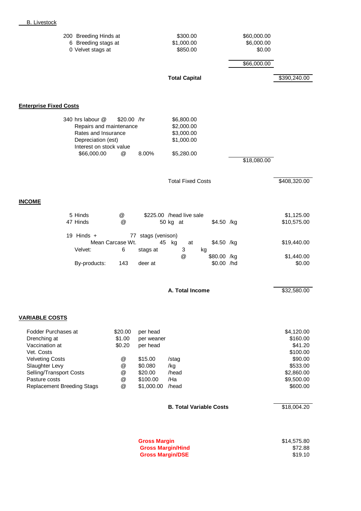|                                                                     | 200 Breeding Hinds at<br>6 Breeding stags at<br>0 Velvet stags at                                                                  |                             |                                    | \$300.00<br>\$1,000.00<br>\$850.00                                 |                           | \$60,000.00<br>\$6,000.00<br>\$0.00 |                                               |
|---------------------------------------------------------------------|------------------------------------------------------------------------------------------------------------------------------------|-----------------------------|------------------------------------|--------------------------------------------------------------------|---------------------------|-------------------------------------|-----------------------------------------------|
|                                                                     |                                                                                                                                    |                             |                                    |                                                                    |                           | \$66,000.00                         |                                               |
|                                                                     |                                                                                                                                    |                             |                                    | <b>Total Capital</b>                                               |                           |                                     | \$390,240.00                                  |
|                                                                     |                                                                                                                                    |                             |                                    |                                                                    |                           |                                     |                                               |
| <b>Enterprise Fixed Costs</b>                                       |                                                                                                                                    |                             |                                    |                                                                    |                           |                                     |                                               |
|                                                                     | 340 hrs labour @<br>Repairs and maintenance<br>Rates and Insurance<br>Depreciation (est)<br>Interest on stock value<br>\$66,000.00 | $$20.00$ /hr<br>@           | 8.00%                              | \$6,800.00<br>\$2,000.00<br>\$3,000.00<br>\$1,000.00<br>\$5,280.00 |                           | \$18,080.00                         |                                               |
|                                                                     |                                                                                                                                    |                             |                                    | <b>Total Fixed Costs</b>                                           |                           |                                     | \$408,320.00                                  |
| <b>INCOME</b>                                                       |                                                                                                                                    |                             |                                    |                                                                    |                           |                                     |                                               |
|                                                                     | 5 Hinds<br>47 Hinds                                                                                                                | $^\copyright$<br>@          |                                    | \$225.00 /head live sale<br>50 kg at                               | \$4.50 /kg                |                                     | \$1,125.00<br>\$10,575.00                     |
|                                                                     | 19 Hinds $+$                                                                                                                       |                             | 77 stags (venison)                 |                                                                    |                           |                                     |                                               |
|                                                                     | Mean Carcase Wt.<br>Velvet:                                                                                                        | 6                           | 45<br>stags at                     | kg<br>at<br>3<br>kg                                                | \$4.50 /kg                |                                     | \$19,440.00                                   |
|                                                                     | By-products:                                                                                                                       | 143                         | deer at                            | @                                                                  | \$80.00 /kg<br>\$0.00 /hd |                                     | \$1,440.00<br>\$0.00                          |
|                                                                     |                                                                                                                                    |                             |                                    |                                                                    |                           |                                     |                                               |
|                                                                     |                                                                                                                                    |                             |                                    | A. Total Income                                                    |                           |                                     | \$32,580.00                                   |
| <b>VARIABLE COSTS</b>                                               |                                                                                                                                    |                             |                                    |                                                                    |                           |                                     |                                               |
| Fodder Purchases at<br>Drenching at<br>Vaccination at<br>Vet. Costs |                                                                                                                                    | \$20.00<br>\$1.00<br>\$0.20 | per head<br>per weaner<br>per head |                                                                    |                           |                                     | \$4,120.00<br>\$160.00<br>\$41.20<br>\$100.00 |
| <b>Velveting Costs</b><br>Slaughter Levy<br>Selling/Transport Costs |                                                                                                                                    | @<br>@<br>@                 | \$15.00<br>\$0.080<br>\$20.00      | /stag<br>/kg<br>/head                                              |                           |                                     | \$90.00<br>\$533.00<br>\$2,860.00             |

| Fodder Purchases at        | \$20.00              | per head   |       | \$4,120,00 |
|----------------------------|----------------------|------------|-------|------------|
| Drenching at               | \$1.00               | per weaner |       | \$160.00   |
| Vaccination at             | \$0.20               | per head   |       | \$41.20    |
| Vet. Costs                 |                      |            |       | \$100.00   |
| <b>Velveting Costs</b>     | @                    | \$15.00    | /staq | \$90.00    |
| Slaughter Levy             | $^{\textregistered}$ | \$0.080    | /kg   | \$533.00   |
| Selling/Transport Costs    | $^{\textregistered}$ | \$20.00    | /head | \$2,860.00 |
| Pasture costs              | $^{\textregistered}$ | \$100.00   | /Ha   | \$9,500.00 |
| Replacement Breeding Stags | $^{\textregistered}$ | \$1,000.00 | /head | \$600.00   |
|                            |                      |            |       |            |

**B. Total Variable Costs** \$18,004.20

| <b>Gross Margin</b>      | \$14,575.80 |
|--------------------------|-------------|
| <b>Gross Margin/Hind</b> | \$72.88     |
| <b>Gross Margin/DSE</b>  | \$19.10     |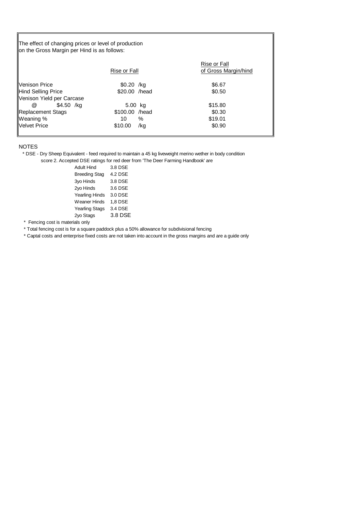#### The effect of changing prices or level of production on the Gross Margin per Hind is as follows:

|                                    | Rise or Fall   |     | Rise or Fall<br>of Gross Margin/hind |
|------------------------------------|----------------|-----|--------------------------------------|
| Venison Price                      | $$0.20$ /kg    |     | \$6.67                               |
| Hind Selling Price                 | \$20.00 /head  |     | \$0.50                               |
| Venison Yield per Carcase          |                |     |                                      |
| \$4.50 /kg<br>$^{\textregistered}$ | 5.00 kg        |     | \$15.80                              |
| Replacement Stags                  | \$100.00 /head |     | \$0.30                               |
| Weaning %                          | 10             | %   | \$19.01                              |
| Velvet Price                       | \$10.00        | /kg | \$0.90                               |
|                                    |                |     |                                      |

NOTES

 \* DSE - Dry Sheep Equivalent - feed required to maintain a 45 kg liveweight merino wether in body condition score 2. Accepted DSE ratings for red deer from 'The Deer Farming Handbook' are

Adult Hind 3.8 DSE

| <b>Breeding Stag</b>  | 4.2 DSE |
|-----------------------|---------|
| 3yo Hinds             | 3.8 DSE |
| 2yo Hinds             | 3.6 DSE |
| <b>Yearling Hinds</b> | 3.0 DSE |
| <b>Weaner Hinds</b>   | 1,8 DSE |
| <b>Yearling Stags</b> | 3.4 DSE |
| 2yo Stags             | 3.8 DSE |

\* Fencing cost is materials only

\* Total fencing cost is for a square paddock plus a 50% allowance for subdivisional fencing

\* Captal costs and enterprise fixed costs are not taken into account in the gross margins and are a guide only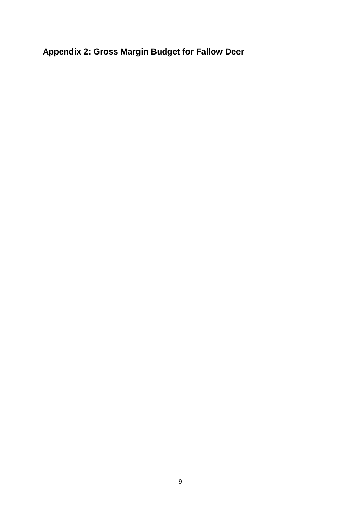**Appendix 2: Gross Margin Budget for Fallow Deer**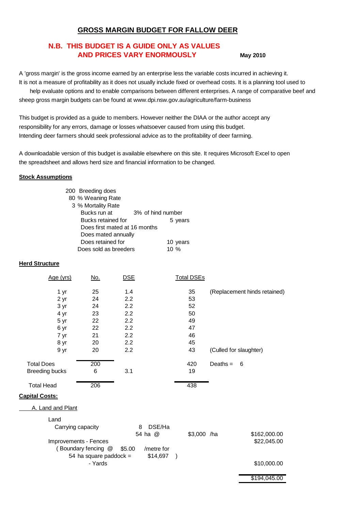### **GROSS MARGIN BUDGET FOR FALLOW DEER**

### **N.B. THIS BUDGET IS A GUIDE ONLY AS VALUES AND PRICES VARY ENORMOUSLY May 2010**

A 'gross margin' is the gross income earned by an enterprise less the variable costs incurred in achieving it. It is not a measure of profitability as it does not usually include fixed or overhead costs. It is a planning tool used to

help evaluate options and to enable comparisons between different enterprises. A range of comparative beef and sheep gross margin budgets can be found at www.dpi.nsw.gov.au/agriculture/farm-business

This budget is provided as a guide to members. However neither the DIAA or the author accept any responsibility for any errors, damage or losses whatsoever caused from using this budget. Intending deer farmers should seek professional advice as to the profitability of deer farming.

A downloadable version of this budget is available elsewhere on this site. It requires Microsoft Excel to open the spreadsheet and allows herd size and financial information to be changed.

#### **Stock Assumptions**

|                               | 200 Breeding does     |                   |  |  |
|-------------------------------|-----------------------|-------------------|--|--|
|                               | 80 % Weaning Rate     |                   |  |  |
|                               | 3 % Mortality Rate    |                   |  |  |
|                               | Bucks run at          | 3% of hind number |  |  |
|                               | Bucks retained for    | 5 years           |  |  |
| Does first mated at 16 months |                       |                   |  |  |
| Does mated annually           |                       |                   |  |  |
| Does retained for<br>10 years |                       |                   |  |  |
|                               | Does sold as breeders | $\frac{0}{6}$     |  |  |
|                               |                       |                   |  |  |

#### **Herd Structure**

| Age (yrs)             | <u>No.</u> | <b>DSE</b> | <b>Total DSEs</b> |                              |
|-----------------------|------------|------------|-------------------|------------------------------|
| 1 yr                  | 25         | 1.4        | 35                | (Replacement hinds retained) |
| 2 yr                  | 24         | 2.2        | 53                |                              |
| 3 yr                  | 24         | 2.2        | 52                |                              |
| 4 yr                  | 23         | 2.2        | 50                |                              |
| 5 yr                  | 22         | 2.2        | 49                |                              |
| 6 yr                  | 22         | 2.2        | 47                |                              |
| 7 yr                  | 21         | 2.2        | 46                |                              |
| 8 yr                  | 20         | 2.2        | 45                |                              |
| 9 yr                  | 20         | 2.2        | 43                | (Culled for slaughter)       |
| <b>Total Does</b>     | 200        |            | 420               | Deaths $=$<br>6              |
| <b>Breeding bucks</b> | 6          | 3.1        | 19                |                              |
| <b>Total Head</b>     | 206        |            | 438               |                              |

#### **Capital Costs:**

### A. Land and Plant Land

| ---<br>Carrying capacity                                                       | DSE/Ha<br>54 ha @      | $$3,000$ /ha | \$162,000.00 |
|--------------------------------------------------------------------------------|------------------------|--------------|--------------|
| Improvements - Fences<br>Boundary fencing @ \$5.00<br>54 ha square paddock $=$ | /metre for<br>\$14,697 |              | \$22,045.00  |
| - Yards                                                                        |                        |              | \$10,000.00  |

\$194,045.00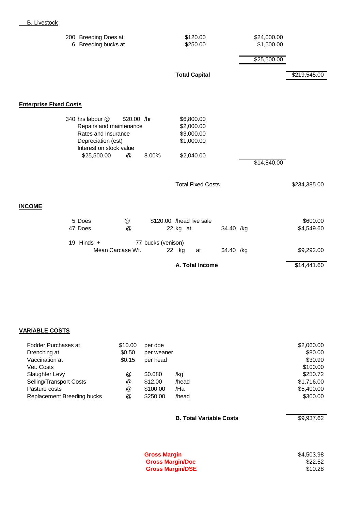|--|

|                               |                 | 200 Breeding Does at<br>6 Breeding bucks at                                                                                        |                                |                    |  |                                                                    | \$120.00<br>\$250.00     |            | \$24,000.00<br>\$1,500.00 |                        |
|-------------------------------|-----------------|------------------------------------------------------------------------------------------------------------------------------------|--------------------------------|--------------------|--|--------------------------------------------------------------------|--------------------------|------------|---------------------------|------------------------|
|                               |                 |                                                                                                                                    |                                |                    |  | <b>Total Capital</b>                                               |                          |            | \$25,500.00               | \$219,545.00           |
| <b>Enterprise Fixed Costs</b> |                 |                                                                                                                                    |                                |                    |  |                                                                    |                          |            |                           |                        |
|                               |                 | 340 hrs labour @<br>Repairs and maintenance<br>Rates and Insurance<br>Depreciation (est)<br>Interest on stock value<br>\$25,500.00 | \$20.00 /hr<br>@               | 8.00%              |  | \$6,800.00<br>\$2,000.00<br>\$3,000.00<br>\$1,000.00<br>\$2,040.00 |                          |            | \$14,840.00               |                        |
|                               |                 |                                                                                                                                    |                                |                    |  |                                                                    | <b>Total Fixed Costs</b> |            |                           | \$234,385.00           |
| <b>INCOME</b>                 |                 |                                                                                                                                    |                                |                    |  |                                                                    |                          |            |                           |                        |
|                               |                 | 5 Does<br>47 Does                                                                                                                  | $^\text{\textregistered}$<br>@ |                    |  | \$120.00 /head live sale<br>22 kg at                               |                          | \$4.40 /kg |                           | \$600.00<br>\$4,549.60 |
|                               |                 | 19 Hinds $+$<br>Mean Carcase Wt.                                                                                                   |                                | 77 bucks (venison) |  | 22 kg                                                              | at                       | \$4.40 /kg |                           | \$9,292.00             |
|                               | A. Total Income |                                                                                                                                    |                                |                    |  |                                                                    | \$14,441.60              |            |                           |                        |

**VARIABLE COSTS**

| Fodder Purchases at        | \$10.00              | per doe    |       | \$2,060.00 |
|----------------------------|----------------------|------------|-------|------------|
| Drenching at               | \$0.50               | per weaner |       | \$80.00    |
| Vaccination at             | \$0.15               | per head   |       | \$30.90    |
| Vet. Costs                 |                      |            |       | \$100.00   |
| Slaughter Levy             | @                    | \$0.080    | /kg   | \$250.72   |
| Selling/Transport Costs    | $^{\textregistered}$ | \$12.00    | /head | \$1,716.00 |
| Pasture costs              | $^{\textregistered}$ | \$100.00   | /Ha   | \$5,400.00 |
| Replacement Breeding bucks | $^{\textregistered}$ | \$250.00   | /head | \$300.00   |
|                            |                      |            |       |            |

**B. Total Variable Costs** \$9,937.62

| Gross Marqin            | \$4,503.98 |
|-------------------------|------------|
| <b>Gross Margin/Doe</b> | \$22.52    |
| <b>Gross Margin/DSE</b> | \$10.28    |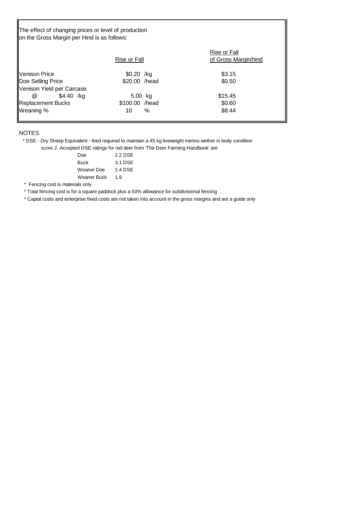The effect of changing prices or level of production on the Gross Margin per Hind is as follows:

|                      |                           | Rise or Fall   |      | Rise or Fall<br>of Gross Margin/hind |
|----------------------|---------------------------|----------------|------|--------------------------------------|
| Venison Price        |                           | $$0.20$ /kg    |      | \$3.15                               |
| Doe Selling Price    |                           | \$20.00 /head  |      | \$0.50                               |
|                      | Venison Yield per Carcase |                |      |                                      |
| $^{\textregistered}$ | $$4.40$ /kg               | 5.00 kg        |      | \$15.45                              |
| Replacement Bucks    |                           | \$100.00 /head |      | \$0.60                               |
| Weaning %            |                           | 10             | $\%$ | \$8.44                               |
|                      |                           |                |      |                                      |

#### NOTES

 \* DSE - Dry Sheep Equivalent - feed required to maintain a 45 kg liveweight merino wether in body condition score 2. Accepted DSE ratings for red deer from 'The Deer Farming Handbook' are

| Doe         | 2.2 DSE |
|-------------|---------|
| Buck        | 3.1 DSE |
| Weaner Doe  | 1.4 DSF |
| Weaner Buck | 1.9     |

\* Fencing cost is materials only

\* Total fencing cost is for a square paddock plus a 50% allowance for subdivisional fencing

\* Captal costs and enterprise fixed costs are not taken into account in the gross margins and are a guide only